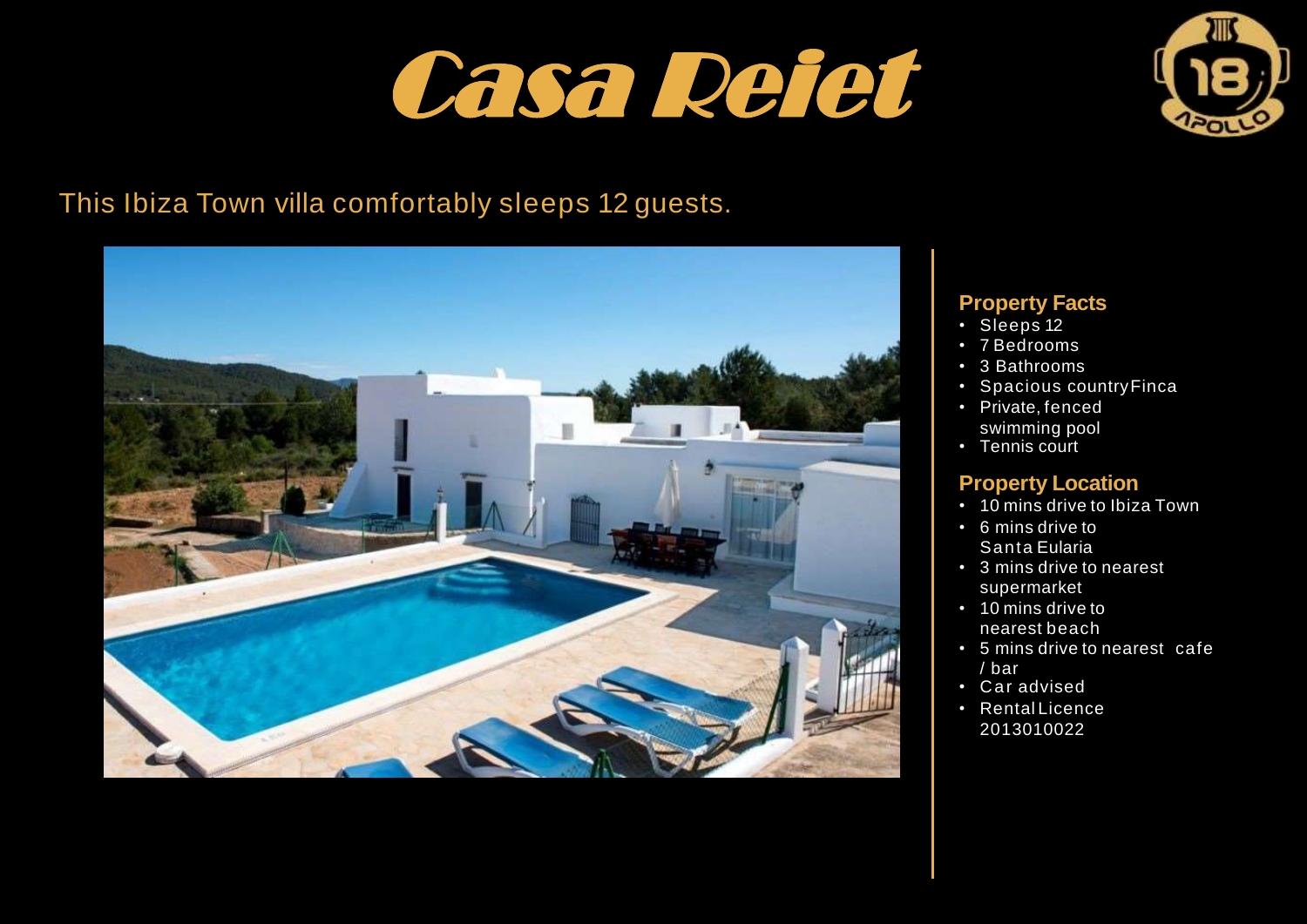



# This Ibiza Town villa comfortably sleeps 12 guests.



### **Property Facts**

- Sleeps 12
- 7 Bedrooms
- 3 Bathrooms
- Spacious countryFinca
- Private, fenced swimming pool
- Tennis court

## **Property Location**

- 10 mins drive to Ibiza Town
- 6 mins drive to Santa Eularia
- 3 mins drive to nearest supermarket
- 10 mins drive to nearest beach
- 5 mins drive to nearest cafe / bar
- Car advised
- Rental Licence 2013010022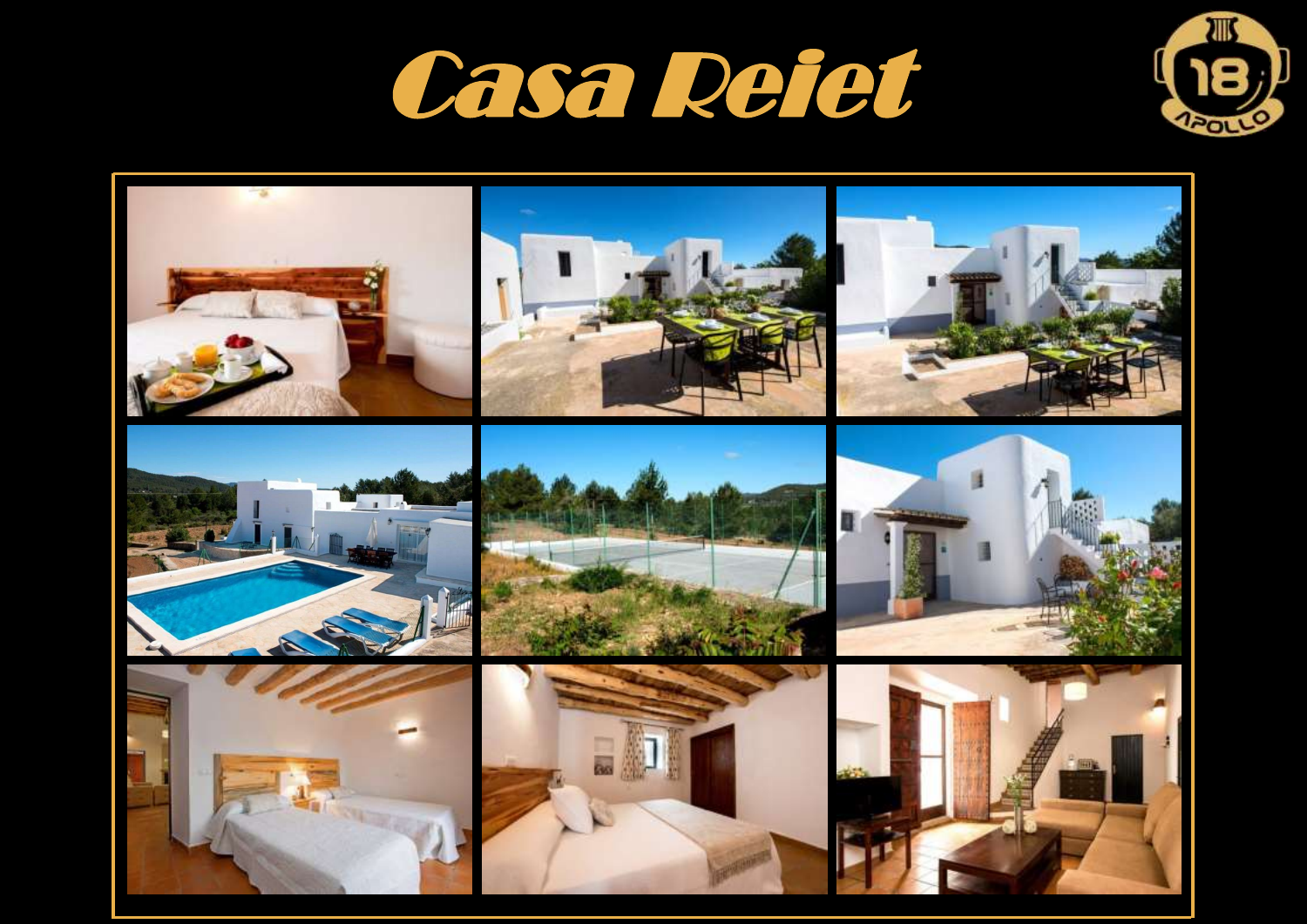



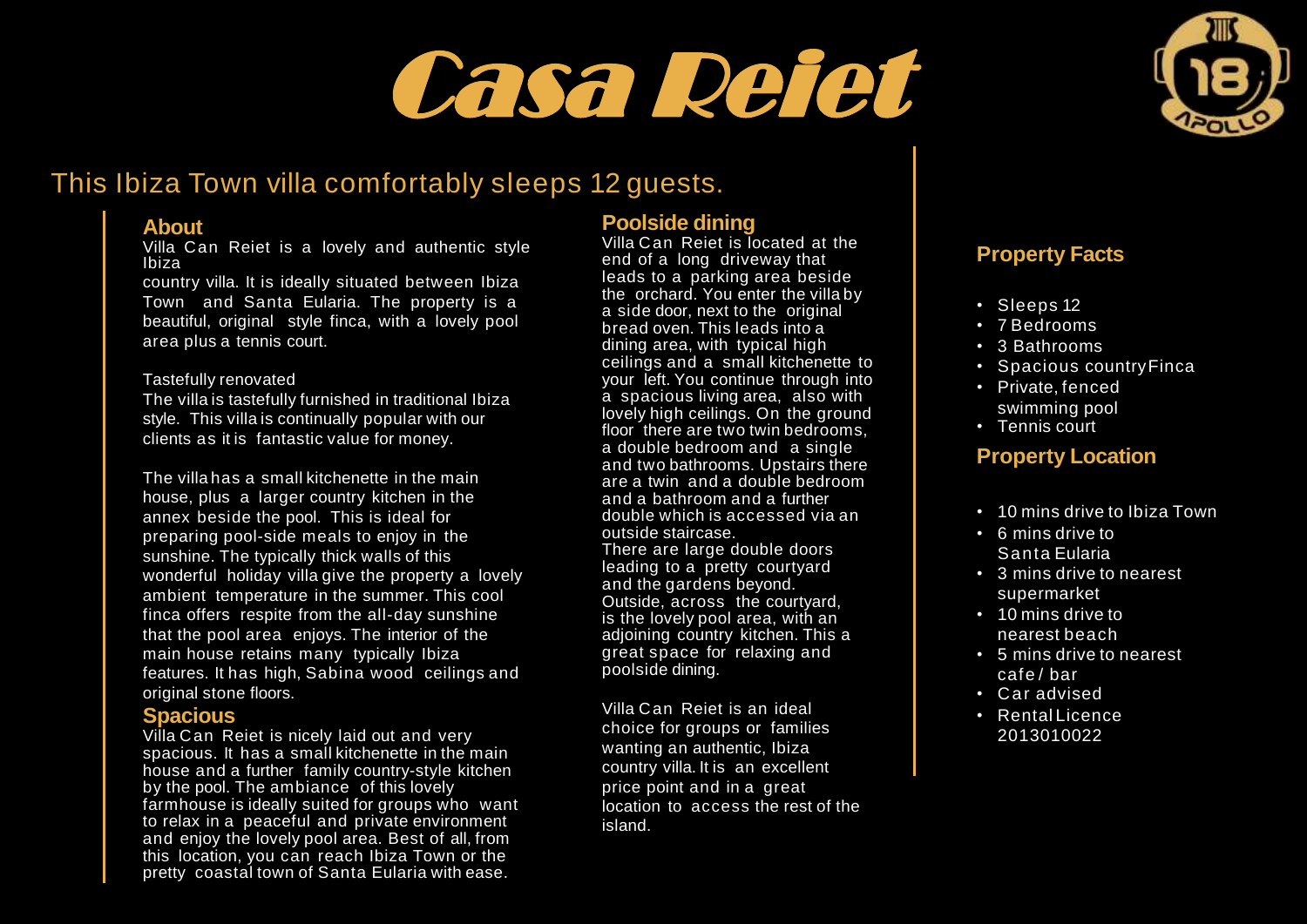



## This Ibiza Town villa comfortably sleeps 12 guests.

#### **About**

Villa Can Reiet is a lovely and authentic style Ibiza

country villa. It is ideally situated between Ibiza Town and Santa Eularia. The property is a beautiful, original style finca, with a lovely pool area plus a tennis court.

#### Tastefully renovated

The villa is tastefully furnished in traditional Ibiza style. This villa is continually popular with our clients as it is fantastic value for money.

The villa has a small kitchenette in the main house, plus a larger country kitchen in the annex beside the pool. This is ideal for preparing pool-side meals to enjoy in the sunshine. The typically thick walls of this wonderful holiday villa give the property a lovely ambient temperature in the summer. This cool finca offers respite from the all-day sunshine that the pool area enjoys. The interior of the main house retains many typically Ibiza features. It has high, Sabina wood ceilings and original stone floors.

#### **Spacious**

Villa Can Reiet is nicely laid out and very spacious. It has a small kitchenette in the main house and a further family country-style kitchen by the pool. The ambiance of this lovely farmhouse is ideally suited for groups who want to relax in a peaceful and private environment and enjoy the lovely pool area. Best of all, from this location, you can reach Ibiza Town or the pretty coastal town of Santa Eularia with ease.

#### **Poolside dining**

Villa Can Reiet is located at the end of a long driveway that leads to a parking area beside the orchard. You enter the villa by a side door, next to the original bread oven. This leads into a dining area, with typical high ceilings and a small kitchenette to your left. You continue through into a spacious living area, also with lovely high ceilings. On the ground floor there are two twin bedrooms. a double bedroom and a single and two bathrooms. Upstairs there are a twin and a double bedroom and a bathroom and a further double which is accessed via an outside staircase. There are large double doors leading to a pretty courtyard

and the gardens beyond. Outside, across the courtyard, is the lovely pool area, with an adjoining country kitchen. This a great space for relaxing and poolside dining.

Villa Can Reiet is an ideal choice for groups or families wanting an authentic, Ibiza country villa. It is an excellent price point and in a great location to access the rest of the island.

## **Property Facts**

- Sleeps 12
- 7 Bedrooms
- 3 Bathrooms
- Spacious countryFinca
- Private, fenced swimming pool
- Tennis court

#### **Property Location**

- 10 mins drive to Ibiza Town
- 6 mins drive to Santa Eularia
- 3 mins drive to nearest supermarket
- 10 mins drive to nearest beach
- 5 mins drive to nearest cafe / bar
- Car advised
- Rental Licence 2013010022